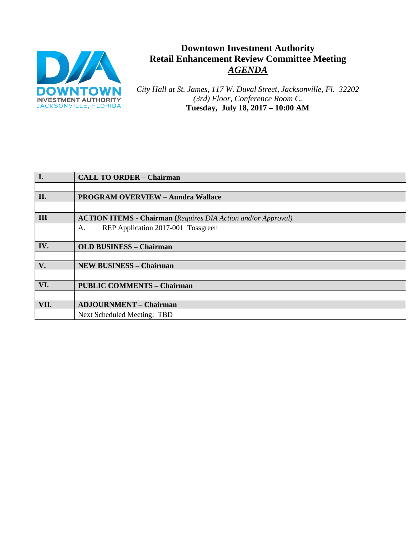

# **Downtown Investment Authority Retail Enhancement Review Committee Meeting** *AGENDA*

*City Hall at St. James, 117 W. Duval Street, Jacksonville, Fl. 32202 (3rd) Floor, Conference Room C.* **Tuesday, July 18, 2017 – 10:00 AM**

| I.   | <b>CALL TO ORDER - Chairman</b>                                      |  |
|------|----------------------------------------------------------------------|--|
|      |                                                                      |  |
| II.  | <b>PROGRAM OVERVIEW - Aundra Wallace</b>                             |  |
|      |                                                                      |  |
| III  | <b>ACTION ITEMS - Chairman</b> (Requires DIA Action and/or Approval) |  |
|      | REP Application 2017-001 Tossgreen<br>A.                             |  |
|      |                                                                      |  |
| IV.  | <b>OLD BUSINESS - Chairman</b>                                       |  |
|      |                                                                      |  |
| V.   | <b>NEW BUSINESS - Chairman</b>                                       |  |
|      |                                                                      |  |
| VI.  | <b>PUBLIC COMMENTS - Chairman</b>                                    |  |
|      |                                                                      |  |
| VII. | <b>ADJOURNMENT - Chairman</b>                                        |  |
|      | <b>Next Scheduled Meeting: TBD</b>                                   |  |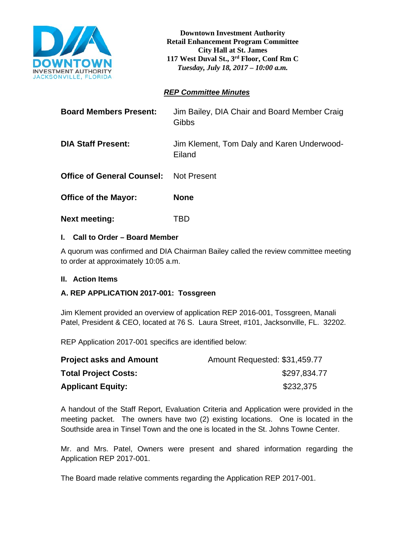

**Downtown Investment Authority Retail Enhancement Program Committee City Hall at St. James 117 West Duval St., 3rd Floor, Conf Rm C**  *Tuesday, July 18, 2017 – 10:00 a.m.*

# *REP Committee Minutes*

| <b>Board Members Present:</b>     | Jim Bailey, DIA Chair and Board Member Craig<br>Gibbs |
|-----------------------------------|-------------------------------------------------------|
| <b>DIA Staff Present:</b>         | Jim Klement, Tom Daly and Karen Underwood-<br>Eiland  |
| <b>Office of General Counsel:</b> | Not Present                                           |
| <b>Office of the Mayor:</b>       | <b>None</b>                                           |
| <b>Next meeting:</b>              | TBD                                                   |

# **I. Call to Order – Board Member**

A quorum was confirmed and DIA Chairman Bailey called the review committee meeting to order at approximately 10:05 a.m.

### **II. Action Items**

# **A. REP APPLICATION 2017-001: Tossgreen**

Jim Klement provided an overview of application REP 2016-001, Tossgreen, Manali Patel, President & CEO, located at 76 S. Laura Street, #101, Jacksonville, FL. 32202.

REP Application 2017-001 specifics are identified below:

| <b>Project asks and Amount</b> | Amount Requested: \$31,459.77 |
|--------------------------------|-------------------------------|
| <b>Total Project Costs:</b>    | \$297,834.77                  |
| <b>Applicant Equity:</b>       | \$232,375                     |

A handout of the Staff Report, Evaluation Criteria and Application were provided in the meeting packet. The owners have two (2) existing locations. One is located in the Southside area in Tinsel Town and the one is located in the St. Johns Towne Center.

Mr. and Mrs. Patel, Owners were present and shared information regarding the Application REP 2017-001.

The Board made relative comments regarding the Application REP 2017-001.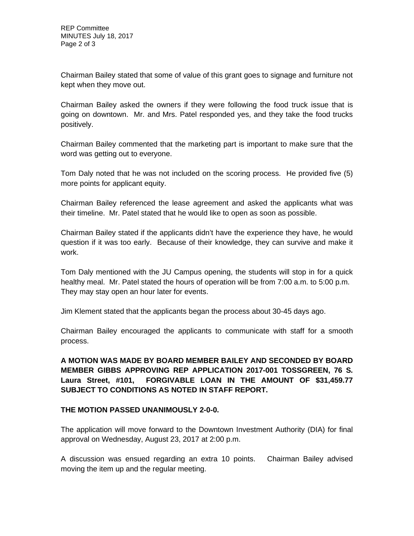Chairman Bailey stated that some of value of this grant goes to signage and furniture not kept when they move out.

Chairman Bailey asked the owners if they were following the food truck issue that is going on downtown. Mr. and Mrs. Patel responded yes, and they take the food trucks positively.

Chairman Bailey commented that the marketing part is important to make sure that the word was getting out to everyone.

Tom Daly noted that he was not included on the scoring process. He provided five (5) more points for applicant equity.

Chairman Bailey referenced the lease agreement and asked the applicants what was their timeline. Mr. Patel stated that he would like to open as soon as possible.

Chairman Bailey stated if the applicants didn't have the experience they have, he would question if it was too early. Because of their knowledge, they can survive and make it work.

Tom Daly mentioned with the JU Campus opening, the students will stop in for a quick healthy meal. Mr. Patel stated the hours of operation will be from 7:00 a.m. to 5:00 p.m. They may stay open an hour later for events.

Jim Klement stated that the applicants began the process about 30-45 days ago.

Chairman Bailey encouraged the applicants to communicate with staff for a smooth process.

**A MOTION WAS MADE BY BOARD MEMBER BAILEY AND SECONDED BY BOARD MEMBER GIBBS APPROVING REP APPLICATION 2017-001 TOSSGREEN, 76 S. Laura Street, #101, FORGIVABLE LOAN IN THE AMOUNT OF \$31,459.77 SUBJECT TO CONDITIONS AS NOTED IN STAFF REPORT.** 

# **THE MOTION PASSED UNANIMOUSLY 2-0-0.**

The application will move forward to the Downtown Investment Authority (DIA) for final approval on Wednesday, August 23, 2017 at 2:00 p.m.

A discussion was ensued regarding an extra 10 points. Chairman Bailey advised moving the item up and the regular meeting.